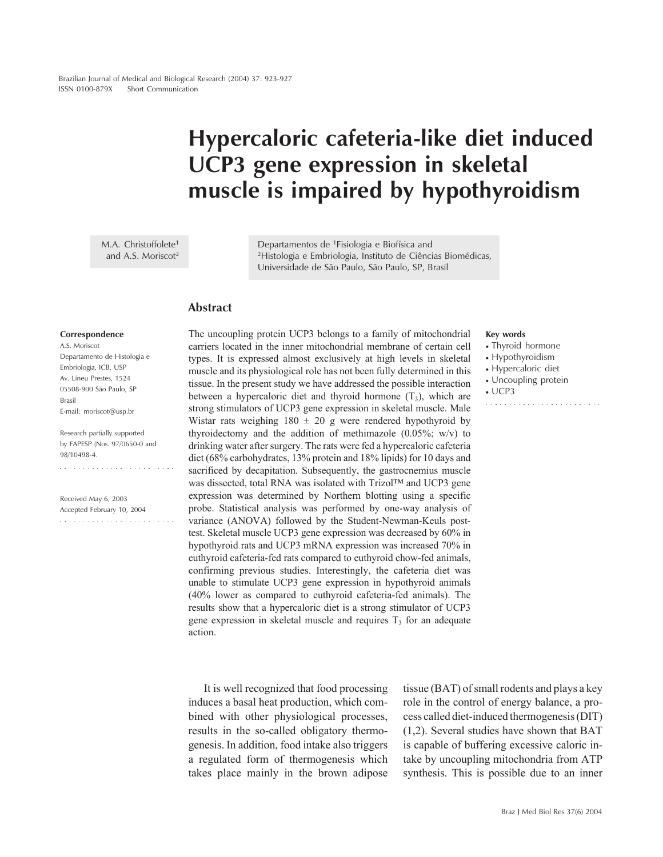# **Hypercaloric cafeteria-like diet induced UCP3 gene expression in skeletal muscle is impaired by hypothyroidism**

M.A. Christoffolete<sup>1</sup> and A.S. Moriscot<sup>2</sup>

Departamentos de 1Fisiologia e Biofísica and 2Histologia e Embriologia, Instituto de Ciências Biomédicas, Universidade de São Paulo, São Paulo, SP, Brasil

### **Abstract**

#### **Correspondence**

A.S. Moriscot Departamento de Histologia e Embriologia, ICB, USP Av. Lineu Prestes, 1524 05508-900 São Paulo, SP Brasil E-mail: moriscot@usp.br

Research partially supported by FAPESP (Nos. 97/0650-0 and 98/10498-4.

Received May 6, 2003 Accepted February 10, 2004  The uncoupling protein UCP3 belongs to a family of mitochondrial carriers located in the inner mitochondrial membrane of certain cell types. It is expressed almost exclusively at high levels in skeletal muscle and its physiological role has not been fully determined in this tissue. In the present study we have addressed the possible interaction between a hypercaloric diet and thyroid hormone  $(T_3)$ , which are strong stimulators of UCP3 gene expression in skeletal muscle. Male Wistar rats weighing  $180 \pm 20$  g were rendered hypothyroid by thyroidectomy and the addition of methimazole (0.05%; w/v) to drinking water after surgery. The rats were fed a hypercaloric cafeteria diet (68% carbohydrates, 13% protein and 18% lipids) for 10 days and sacrificed by decapitation. Subsequently, the gastrocnemius muscle was dissected, total RNA was isolated with Trizol™ and UCP3 gene expression was determined by Northern blotting using a specific probe. Statistical analysis was performed by one-way analysis of variance (ANOVA) followed by the Student-Newman-Keuls posttest. Skeletal muscle UCP3 gene expression was decreased by 60% in hypothyroid rats and UCP3 mRNA expression was increased 70% in euthyroid cafeteria-fed rats compared to euthyroid chow-fed animals, confirming previous studies. Interestingly, the cafeteria diet was unable to stimulate UCP3 gene expression in hypothyroid animals (40% lower as compared to euthyroid cafeteria-fed animals). The results show that a hypercaloric diet is a strong stimulator of UCP3 gene expression in skeletal muscle and requires  $T<sub>3</sub>$  for an adequate action.

It is well recognized that food processing induces a basal heat production, which combined with other physiological processes, results in the so-called obligatory thermogenesis. In addition, food intake also triggers a regulated form of thermogenesis which takes place mainly in the brown adipose tissue (BAT) of small rodents and plays a key role in the control of energy balance, a process called diet-induced thermogenesis (DIT) (1,2). Several studies have shown that BAT is capable of buffering excessive caloric intake by uncoupling mitochondria from ATP synthesis. This is possible due to an inner

#### **Key words**

- Thyroid hormone
- Hypothyroidism
- Hypercaloric diet
- Uncoupling protein

• UCP3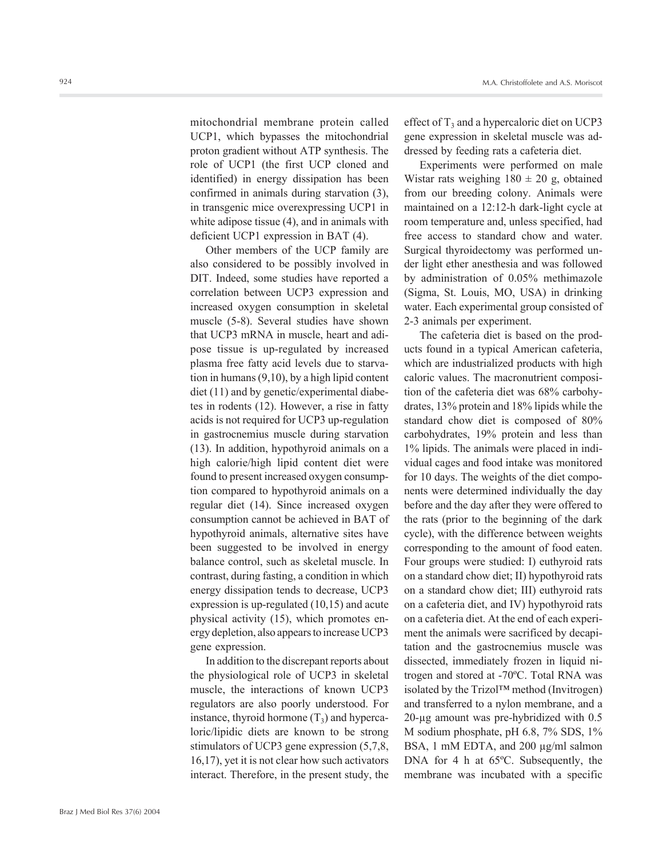mitochondrial membrane protein called UCP1, which bypasses the mitochondrial proton gradient without ATP synthesis. The role of UCP1 (the first UCP cloned and identified) in energy dissipation has been confirmed in animals during starvation (3), in transgenic mice overexpressing UCP1 in white adipose tissue (4), and in animals with deficient UCP1 expression in BAT (4).

Other members of the UCP family are also considered to be possibly involved in DIT. Indeed, some studies have reported a correlation between UCP3 expression and increased oxygen consumption in skeletal muscle (5-8). Several studies have shown that UCP3 mRNA in muscle, heart and adipose tissue is up-regulated by increased plasma free fatty acid levels due to starvation in humans (9,10), by a high lipid content diet (11) and by genetic/experimental diabetes in rodents (12). However, a rise in fatty acids is not required for UCP3 up-regulation in gastrocnemius muscle during starvation (13). In addition, hypothyroid animals on a high calorie/high lipid content diet were found to present increased oxygen consumption compared to hypothyroid animals on a regular diet (14). Since increased oxygen consumption cannot be achieved in BAT of hypothyroid animals, alternative sites have been suggested to be involved in energy balance control, such as skeletal muscle. In contrast, during fasting, a condition in which energy dissipation tends to decrease, UCP3 expression is up-regulated (10,15) and acute physical activity (15), which promotes energy depletion, also appears to increase UCP3 gene expression.

In addition to the discrepant reports about the physiological role of UCP3 in skeletal muscle, the interactions of known UCP3 regulators are also poorly understood. For instance, thyroid hormone  $(T_3)$  and hypercaloric/lipidic diets are known to be strong stimulators of UCP3 gene expression (5,7,8, 16,17), yet it is not clear how such activators interact. Therefore, in the present study, the

effect of  $T_3$  and a hypercaloric diet on UCP3 gene expression in skeletal muscle was addressed by feeding rats a cafeteria diet.

Experiments were performed on male Wistar rats weighing  $180 \pm 20$  g, obtained from our breeding colony. Animals were maintained on a 12:12-h dark-light cycle at room temperature and, unless specified, had free access to standard chow and water. Surgical thyroidectomy was performed under light ether anesthesia and was followed by administration of 0.05% methimazole (Sigma, St. Louis, MO, USA) in drinking water. Each experimental group consisted of 2-3 animals per experiment.

The cafeteria diet is based on the products found in a typical American cafeteria, which are industrialized products with high caloric values. The macronutrient composition of the cafeteria diet was 68% carbohydrates, 13% protein and 18% lipids while the standard chow diet is composed of 80% carbohydrates, 19% protein and less than 1% lipids. The animals were placed in individual cages and food intake was monitored for 10 days. The weights of the diet components were determined individually the day before and the day after they were offered to the rats (prior to the beginning of the dark cycle), with the difference between weights corresponding to the amount of food eaten. Four groups were studied: I) euthyroid rats on a standard chow diet; II) hypothyroid rats on a standard chow diet; III) euthyroid rats on a cafeteria diet, and IV) hypothyroid rats on a cafeteria diet. At the end of each experiment the animals were sacrificed by decapitation and the gastrocnemius muscle was dissected, immediately frozen in liquid nitrogen and stored at -70ºC. Total RNA was isolated by the Trizol™ method (Invitrogen) and transferred to a nylon membrane, and a 20-µg amount was pre-hybridized with 0.5 M sodium phosphate, pH 6.8, 7% SDS, 1% BSA, 1 mM EDTA, and 200 µg/ml salmon DNA for 4 h at 65ºC. Subsequently, the membrane was incubated with a specific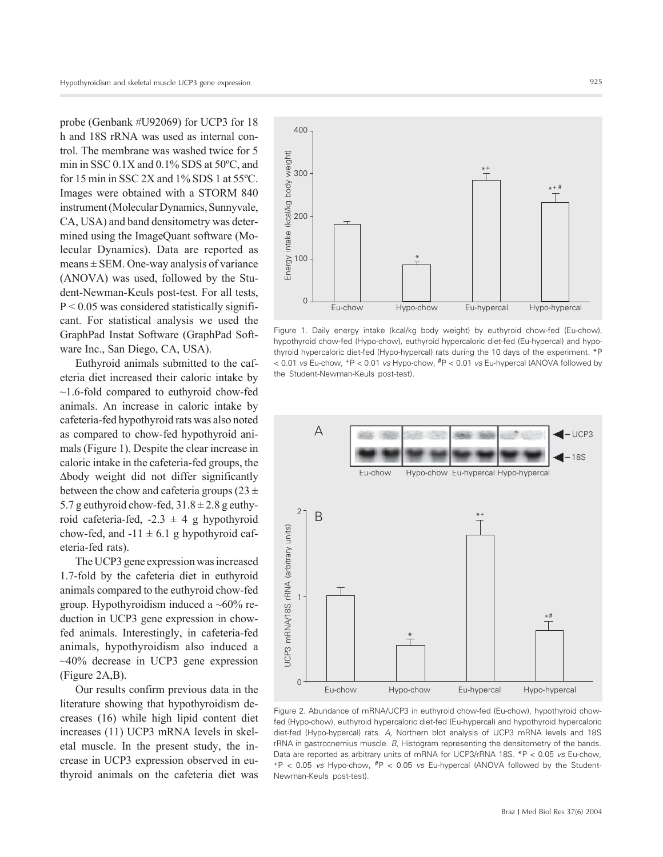probe (Genbank #U92069) for UCP3 for 18 h and 18S rRNA was used as internal control. The membrane was washed twice for 5 min in SSC 0.1X and 0.1% SDS at 50ºC, and for 15 min in SSC 2X and 1% SDS 1 at 55ºC. Images were obtained with a STORM 840 instrument (Molecular Dynamics, Sunnyvale, CA, USA) and band densitometry was determined using the ImageQuant software (Molecular Dynamics). Data are reported as  $means \pm SEM$ . One-way analysis of variance (ANOVA) was used, followed by the Student-Newman-Keuls post-test. For all tests,  $P < 0.05$  was considered statistically significant. For statistical analysis we used the GraphPad Instat Software (GraphPad Software Inc., San Diego, CA, USA).

Euthyroid animals submitted to the cafeteria diet increased their caloric intake by ~1.6-fold compared to euthyroid chow-fed animals. An increase in caloric intake by cafeteria-fed hypothyroid rats was also noted as compared to chow-fed hypothyroid animals (Figure 1). Despite the clear increase in caloric intake in the cafeteria-fed groups, the ∆body weight did not differ significantly between the chow and cafeteria groups ( $23 \pm$ 5.7 g euthyroid chow-fed,  $31.8 \pm 2.8$  g euthyroid cafeteria-fed,  $-2.3 \pm 4$  g hypothyroid chow-fed, and  $-11 \pm 6.1$  g hypothyroid cafeteria-fed rats).

The UCP3 gene expression was increased 1.7-fold by the cafeteria diet in euthyroid animals compared to the euthyroid chow-fed group. Hypothyroidism induced a  $~60\%$  reduction in UCP3 gene expression in chowfed animals. Interestingly, in cafeteria-fed animals, hypothyroidism also induced a ~40% decrease in UCP3 gene expression (Figure 2A,B).

Our results confirm previous data in the literature showing that hypothyroidism decreases (16) while high lipid content diet increases (11) UCP3 mRNA levels in skeletal muscle. In the present study, the increase in UCP3 expression observed in euthyroid animals on the cafeteria diet was



Figure 1. Daily energy intake (kcal/kg body weight) by euthyroid chow-fed (Eu-chow), hypothyroid chow-fed (Hypo-chow), euthyroid hypercaloric diet-fed (Eu-hypercal) and hypothyroid hypercaloric diet-fed (Hypo-hypercal) rats during the 10 days of the experiment. \*P < 0.01 *vs* Eu-chow, +P < 0.01 *vs* Hypo-chow, #P < 0.01 *vs* Eu-hypercal (ANOVA followed by the Student-Newman-Keuls post-test).



Figure 2. Abundance of mRNA/UCP3 in euthyroid chow-fed (Eu-chow), hypothyroid chowfed (Hypo-chow), euthyroid hypercaloric diet-fed (Eu-hypercal) and hypothyroid hypercaloric diet-fed (Hypo-hypercal) rats. *A*, Northern blot analysis of UCP3 mRNA levels and 18S rRNA in gastrocnemius muscle. *B*, Histogram representing the densitometry of the bands. Data are reported as arbitrary units of mRNA for UCP3/rRNA 18S. \*P < 0.05 *vs* Eu-chow, +P < 0.05 *vs* Hypo-chow, #P < 0.05 *vs* Eu-hypercal (ANOVA followed by the Student-Newman-Keuls post-test).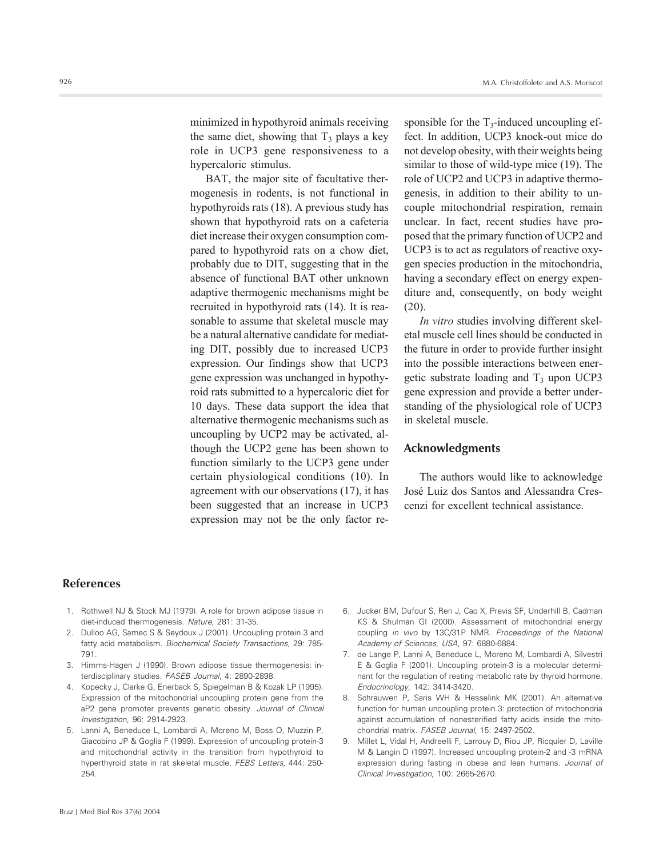minimized in hypothyroid animals receiving the same diet, showing that  $T_3$  plays a key role in UCP3 gene responsiveness to a hypercaloric stimulus.

BAT, the major site of facultative thermogenesis in rodents, is not functional in hypothyroids rats (18). A previous study has shown that hypothyroid rats on a cafeteria diet increase their oxygen consumption compared to hypothyroid rats on a chow diet, probably due to DIT, suggesting that in the absence of functional BAT other unknown adaptive thermogenic mechanisms might be recruited in hypothyroid rats (14). It is reasonable to assume that skeletal muscle may be a natural alternative candidate for mediating DIT, possibly due to increased UCP3 expression. Our findings show that UCP3 gene expression was unchanged in hypothyroid rats submitted to a hypercaloric diet for 10 days. These data support the idea that alternative thermogenic mechanisms such as uncoupling by UCP2 may be activated, although the UCP2 gene has been shown to function similarly to the UCP3 gene under certain physiological conditions (10). In agreement with our observations (17), it has been suggested that an increase in UCP3 expression may not be the only factor responsible for the  $T_3$ -induced uncoupling effect. In addition, UCP3 knock-out mice do not develop obesity, with their weights being similar to those of wild-type mice (19). The role of UCP2 and UCP3 in adaptive thermogenesis, in addition to their ability to uncouple mitochondrial respiration, remain unclear. In fact, recent studies have proposed that the primary function of UCP2 and UCP3 is to act as regulators of reactive oxygen species production in the mitochondria, having a secondary effect on energy expenditure and, consequently, on body weight  $(20)$ .

*In vitro* studies involving different skeletal muscle cell lines should be conducted in the future in order to provide further insight into the possible interactions between energetic substrate loading and  $T_3$  upon UCP3 gene expression and provide a better understanding of the physiological role of UCP3 in skeletal muscle.

## **Acknowledgments**

The authors would like to acknowledge José Luiz dos Santos and Alessandra Crescenzi for excellent technical assistance.

## **References**

- 1. Rothwell NJ & Stock MJ (1979). A role for brown adipose tissue in diet-induced thermogenesis. *Nature*, 281: 31-35.
- 2. Dulloo AG, Samec S & Seydoux J (2001). Uncoupling protein 3 and fatty acid metabolism. *Biochemical Society Transactions*, 29: 785- 791.
- 3. Himms-Hagen J (1990). Brown adipose tissue thermogenesis: interdisciplinary studies. *FASEB Journal*, 4: 2890-2898.
- 4. Kopecky J, Clarke G, Enerback S, Spiegelman B & Kozak LP (1995). Expression of the mitochondrial uncoupling protein gene from the aP2 gene promoter prevents genetic obesity. *Journal of Clinical Investigation*, 96: 2914-2923.
- 5. Lanni A, Beneduce L, Lombardi A, Moreno M, Boss O, Muzzin P, Giacobino JP & Goglia F (1999). Expression of uncoupling protein-3 and mitochondrial activity in the transition from hypothyroid to hyperthyroid state in rat skeletal muscle. *FEBS Letters*, 444: 250- 254.
- 6. Jucker BM, Dufour S, Ren J, Cao X, Previs SF, Underhill B, Cadman KS & Shulman GI (2000). Assessment of mitochondrial energy coupling *in vivo* by 13C/31P NMR. *Proceedings of the National Academy of Sciences, USA*, 97: 6880-6884.
- 7. de Lange P, Lanni A, Beneduce L, Moreno M, Lombardi A, Silvestri E & Goglia F (2001). Uncoupling protein-3 is a molecular determinant for the regulation of resting metabolic rate by thyroid hormone. *Endocrinology*, 142: 3414-3420.
- 8. Schrauwen P, Saris WH & Hesselink MK (2001). An alternative function for human uncoupling protein 3: protection of mitochondria against accumulation of nonesterified fatty acids inside the mitochondrial matrix. *FASEB Journal*, 15: 2497-2502.
- 9. Millet L, Vidal H, Andreelli F, Larrouy D, Riou JP, Ricquier D, Laville M & Langin D (1997). Increased uncoupling protein-2 and -3 mRNA expression during fasting in obese and lean humans. *Journal of Clinical Investigation*, 100: 2665-2670.